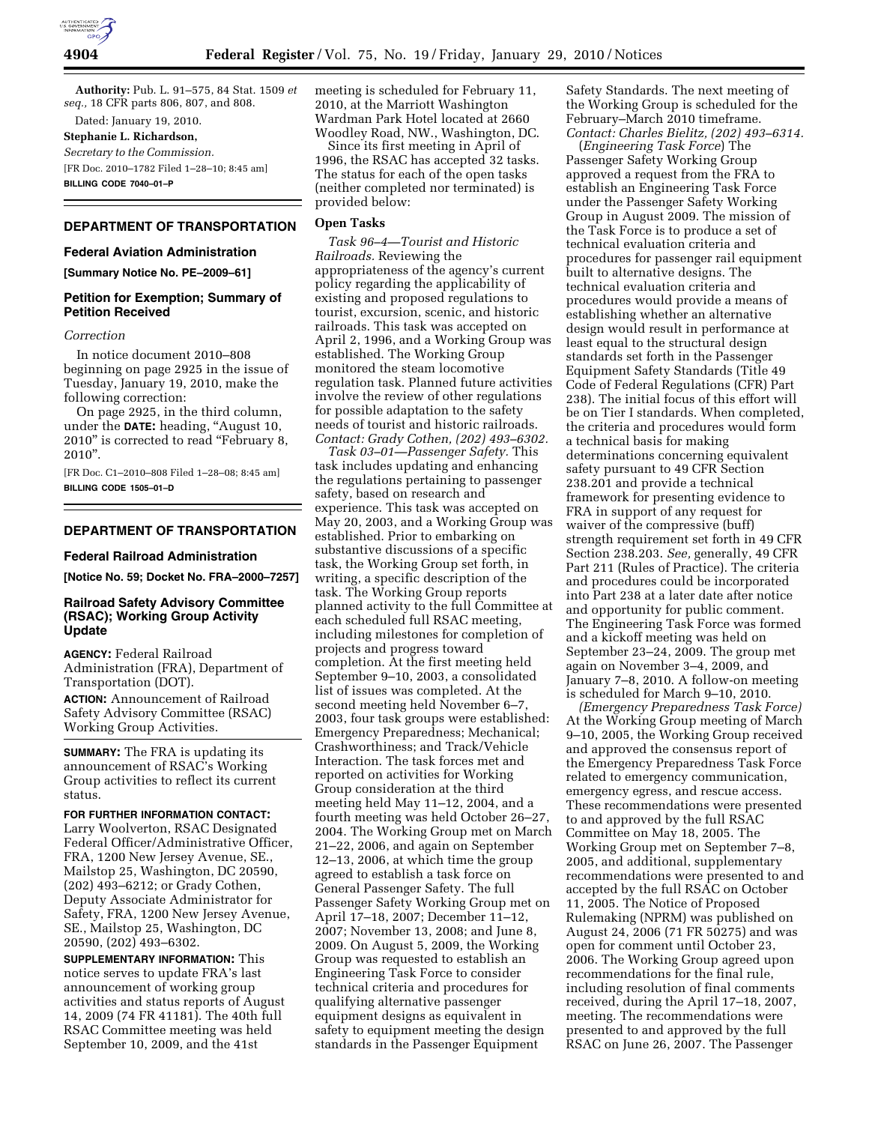

**Authority:** Pub. L. 91–575, 84 Stat. 1509 *et seq.,* 18 CFR parts 806, 807, and 808.

Dated: January 19, 2010.

**Stephanie L. Richardson,** 

*Secretary to the Commission.*  [FR Doc. 2010–1782 Filed 1–28–10; 8:45 am]

**BILLING CODE 7040–01–P** 

### **DEPARTMENT OF TRANSPORTATION**

#### **Federal Aviation Administration**

**[Summary Notice No. PE–2009–61]** 

# **Petition for Exemption; Summary of Petition Received**

#### *Correction*

In notice document 2010–808 beginning on page 2925 in the issue of Tuesday, January 19, 2010, make the following correction:

On page 2925, in the third column, under the **DATE:** heading, ''August 10, 2010'' is corrected to read ''February 8, 2010''.

[FR Doc. C1–2010–808 Filed 1–28–08; 8:45 am] **BILLING CODE 1505–01–D** 

# **DEPARTMENT OF TRANSPORTATION**

#### **Federal Railroad Administration**

**[Notice No. 59; Docket No. FRA–2000–7257]** 

# **Railroad Safety Advisory Committee (RSAC); Working Group Activity Update**

**AGENCY:** Federal Railroad Administration (FRA), Department of Transportation (DOT).

**ACTION:** Announcement of Railroad Safety Advisory Committee (RSAC) Working Group Activities.

**SUMMARY:** The FRA is updating its announcement of RSAC's Working Group activities to reflect its current status.

#### **FOR FURTHER INFORMATION CONTACT:**

Larry Woolverton, RSAC Designated Federal Officer/Administrative Officer, FRA, 1200 New Jersey Avenue, SE., Mailstop 25, Washington, DC 20590, (202) 493–6212; or Grady Cothen, Deputy Associate Administrator for Safety, FRA, 1200 New Jersey Avenue, SE., Mailstop 25, Washington, DC 20590, (202) 493–6302.

**SUPPLEMENTARY INFORMATION:** This notice serves to update FRA's last announcement of working group activities and status reports of August 14, 2009 (74 FR 41181). The 40th full RSAC Committee meeting was held September 10, 2009, and the 41st

meeting is scheduled for February 11, 2010, at the Marriott Washington Wardman Park Hotel located at 2660 Woodley Road, NW., Washington, DC.

Since its first meeting in April of 1996, the RSAC has accepted 32 tasks. The status for each of the open tasks (neither completed nor terminated) is provided below:

# **Open Tasks**

*Task 96–4—Tourist and Historic Railroads.* Reviewing the appropriateness of the agency's current policy regarding the applicability of existing and proposed regulations to tourist, excursion, scenic, and historic railroads. This task was accepted on April 2, 1996, and a Working Group was established. The Working Group monitored the steam locomotive regulation task. Planned future activities involve the review of other regulations for possible adaptation to the safety needs of tourist and historic railroads. *Contact: Grady Cothen, (202) 493–6302.* 

*Task 03–01—Passenger Safety.* This task includes updating and enhancing the regulations pertaining to passenger safety, based on research and experience. This task was accepted on May 20, 2003, and a Working Group was established. Prior to embarking on substantive discussions of a specific task, the Working Group set forth, in writing, a specific description of the task. The Working Group reports planned activity to the full Committee at each scheduled full RSAC meeting, including milestones for completion of projects and progress toward completion. At the first meeting held September 9–10, 2003, a consolidated list of issues was completed. At the second meeting held November 6–7, 2003, four task groups were established: Emergency Preparedness; Mechanical; Crashworthiness; and Track/Vehicle Interaction. The task forces met and reported on activities for Working Group consideration at the third meeting held May 11–12, 2004, and a fourth meeting was held October 26–27, 2004. The Working Group met on March 21–22, 2006, and again on September 12–13, 2006, at which time the group agreed to establish a task force on General Passenger Safety. The full Passenger Safety Working Group met on April 17–18, 2007; December 11–12, 2007; November 13, 2008; and June 8, 2009. On August 5, 2009, the Working Group was requested to establish an Engineering Task Force to consider technical criteria and procedures for qualifying alternative passenger equipment designs as equivalent in safety to equipment meeting the design standards in the Passenger Equipment

Safety Standards. The next meeting of the Working Group is scheduled for the February–March 2010 timeframe. *Contact: Charles Bielitz, (202) 493–6314.* 

(*Engineering Task Force*) The Passenger Safety Working Group approved a request from the FRA to establish an Engineering Task Force under the Passenger Safety Working Group in August 2009. The mission of the Task Force is to produce a set of technical evaluation criteria and procedures for passenger rail equipment built to alternative designs. The technical evaluation criteria and procedures would provide a means of establishing whether an alternative design would result in performance at least equal to the structural design standards set forth in the Passenger Equipment Safety Standards (Title 49 Code of Federal Regulations (CFR) Part 238). The initial focus of this effort will be on Tier I standards. When completed, the criteria and procedures would form a technical basis for making determinations concerning equivalent safety pursuant to 49 CFR Section 238.201 and provide a technical framework for presenting evidence to FRA in support of any request for waiver of the compressive (buff) strength requirement set forth in 49 CFR Section 238.203. *See,* generally, 49 CFR Part 211 (Rules of Practice). The criteria and procedures could be incorporated into Part 238 at a later date after notice and opportunity for public comment. The Engineering Task Force was formed and a kickoff meeting was held on September 23–24, 2009. The group met again on November 3–4, 2009, and January 7–8, 2010. A follow-on meeting is scheduled for March 9–10, 2010.

*(Emergency Preparedness Task Force)*  At the Working Group meeting of March 9–10, 2005, the Working Group received and approved the consensus report of the Emergency Preparedness Task Force related to emergency communication, emergency egress, and rescue access. These recommendations were presented to and approved by the full RSAC Committee on May 18, 2005. The Working Group met on September 7–8, 2005, and additional, supplementary recommendations were presented to and accepted by the full RSAC on October 11, 2005. The Notice of Proposed Rulemaking (NPRM) was published on August 24, 2006 (71 FR 50275) and was open for comment until October 23, 2006. The Working Group agreed upon recommendations for the final rule, including resolution of final comments received, during the April 17–18, 2007, meeting. The recommendations were presented to and approved by the full RSAC on June 26, 2007. The Passenger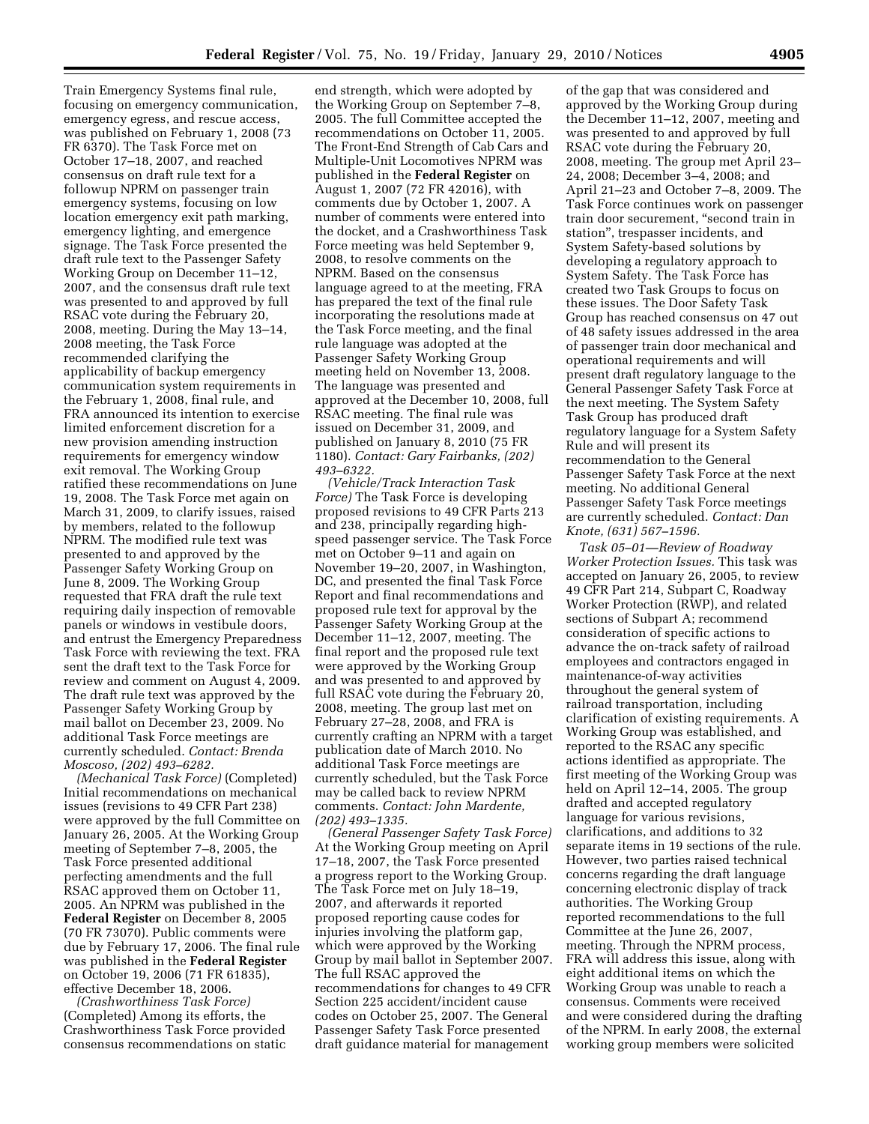Train Emergency Systems final rule, focusing on emergency communication, emergency egress, and rescue access, was published on February 1, 2008 (73 FR 6370). The Task Force met on October 17–18, 2007, and reached consensus on draft rule text for a followup NPRM on passenger train emergency systems, focusing on low location emergency exit path marking, emergency lighting, and emergence signage. The Task Force presented the draft rule text to the Passenger Safety Working Group on December 11–12, 2007, and the consensus draft rule text was presented to and approved by full RSAC vote during the February 20, 2008, meeting. During the May 13–14, 2008 meeting, the Task Force recommended clarifying the applicability of backup emergency communication system requirements in the February 1, 2008, final rule, and FRA announced its intention to exercise limited enforcement discretion for a new provision amending instruction requirements for emergency window exit removal. The Working Group ratified these recommendations on June 19, 2008. The Task Force met again on March 31, 2009, to clarify issues, raised by members, related to the followup NPRM. The modified rule text was presented to and approved by the Passenger Safety Working Group on June 8, 2009. The Working Group requested that FRA draft the rule text requiring daily inspection of removable panels or windows in vestibule doors, and entrust the Emergency Preparedness Task Force with reviewing the text. FRA sent the draft text to the Task Force for review and comment on August 4, 2009. The draft rule text was approved by the Passenger Safety Working Group by mail ballot on December 23, 2009. No additional Task Force meetings are currently scheduled. *Contact: Brenda Moscoso, (202) 493–6282.* 

*(Mechanical Task Force)* (Completed) Initial recommendations on mechanical issues (revisions to 49 CFR Part 238) were approved by the full Committee on January 26, 2005. At the Working Group meeting of September 7–8, 2005, the Task Force presented additional perfecting amendments and the full RSAC approved them on October 11, 2005. An NPRM was published in the **Federal Register** on December 8, 2005 (70 FR 73070). Public comments were due by February 17, 2006. The final rule was published in the **Federal Register**  on October 19, 2006 (71 FR 61835), effective December 18, 2006.

*(Crashworthiness Task Force)*  (Completed) Among its efforts, the Crashworthiness Task Force provided consensus recommendations on static

end strength, which were adopted by the Working Group on September 7–8, 2005. The full Committee accepted the recommendations on October 11, 2005. The Front-End Strength of Cab Cars and Multiple-Unit Locomotives NPRM was published in the **Federal Register** on August 1, 2007 (72 FR 42016), with comments due by October 1, 2007. A number of comments were entered into the docket, and a Crashworthiness Task Force meeting was held September 9, 2008, to resolve comments on the NPRM. Based on the consensus language agreed to at the meeting, FRA has prepared the text of the final rule incorporating the resolutions made at the Task Force meeting, and the final rule language was adopted at the Passenger Safety Working Group meeting held on November 13, 2008. The language was presented and approved at the December 10, 2008, full RSAC meeting. The final rule was issued on December 31, 2009, and published on January 8, 2010 (75 FR 1180). *Contact: Gary Fairbanks, (202) 493–6322.* 

*(Vehicle/Track Interaction Task Force)* The Task Force is developing proposed revisions to 49 CFR Parts 213 and 238, principally regarding highspeed passenger service. The Task Force met on October 9–11 and again on November 19–20, 2007, in Washington, DC, and presented the final Task Force Report and final recommendations and proposed rule text for approval by the Passenger Safety Working Group at the December 11–12, 2007, meeting. The final report and the proposed rule text were approved by the Working Group and was presented to and approved by full RSAC vote during the February 20, 2008, meeting. The group last met on February 27–28, 2008, and FRA is currently crafting an NPRM with a target publication date of March 2010. No additional Task Force meetings are currently scheduled, but the Task Force may be called back to review NPRM comments. *Contact: John Mardente, (202) 493–1335.* 

*(General Passenger Safety Task Force)*  At the Working Group meeting on April 17–18, 2007, the Task Force presented a progress report to the Working Group. The Task Force met on July 18–19, 2007, and afterwards it reported proposed reporting cause codes for injuries involving the platform gap, which were approved by the Working Group by mail ballot in September 2007. The full RSAC approved the recommendations for changes to 49 CFR Section 225 accident/incident cause codes on October 25, 2007. The General Passenger Safety Task Force presented draft guidance material for management

of the gap that was considered and approved by the Working Group during the December 11–12, 2007, meeting and was presented to and approved by full RSAC vote during the February 20, 2008, meeting. The group met April 23– 24, 2008; December 3–4, 2008; and April 21–23 and October 7–8, 2009. The Task Force continues work on passenger train door securement, ''second train in station'', trespasser incidents, and System Safety-based solutions by developing a regulatory approach to System Safety. The Task Force has created two Task Groups to focus on these issues. The Door Safety Task Group has reached consensus on 47 out of 48 safety issues addressed in the area of passenger train door mechanical and operational requirements and will present draft regulatory language to the General Passenger Safety Task Force at the next meeting. The System Safety Task Group has produced draft regulatory language for a System Safety Rule and will present its recommendation to the General Passenger Safety Task Force at the next meeting. No additional General Passenger Safety Task Force meetings are currently scheduled. *Contact: Dan Knote, (631) 567–1596.* 

*Task 05–01—Review of Roadway Worker Protection Issues.* This task was accepted on January 26, 2005, to review 49 CFR Part 214, Subpart C, Roadway Worker Protection (RWP), and related sections of Subpart A; recommend consideration of specific actions to advance the on-track safety of railroad employees and contractors engaged in maintenance-of-way activities throughout the general system of railroad transportation, including clarification of existing requirements. A Working Group was established, and reported to the RSAC any specific actions identified as appropriate. The first meeting of the Working Group was held on April 12–14, 2005. The group drafted and accepted regulatory language for various revisions, clarifications, and additions to 32 separate items in 19 sections of the rule. However, two parties raised technical concerns regarding the draft language concerning electronic display of track authorities. The Working Group reported recommendations to the full Committee at the June 26, 2007, meeting. Through the NPRM process, FRA will address this issue, along with eight additional items on which the Working Group was unable to reach a consensus. Comments were received and were considered during the drafting of the NPRM. In early 2008, the external working group members were solicited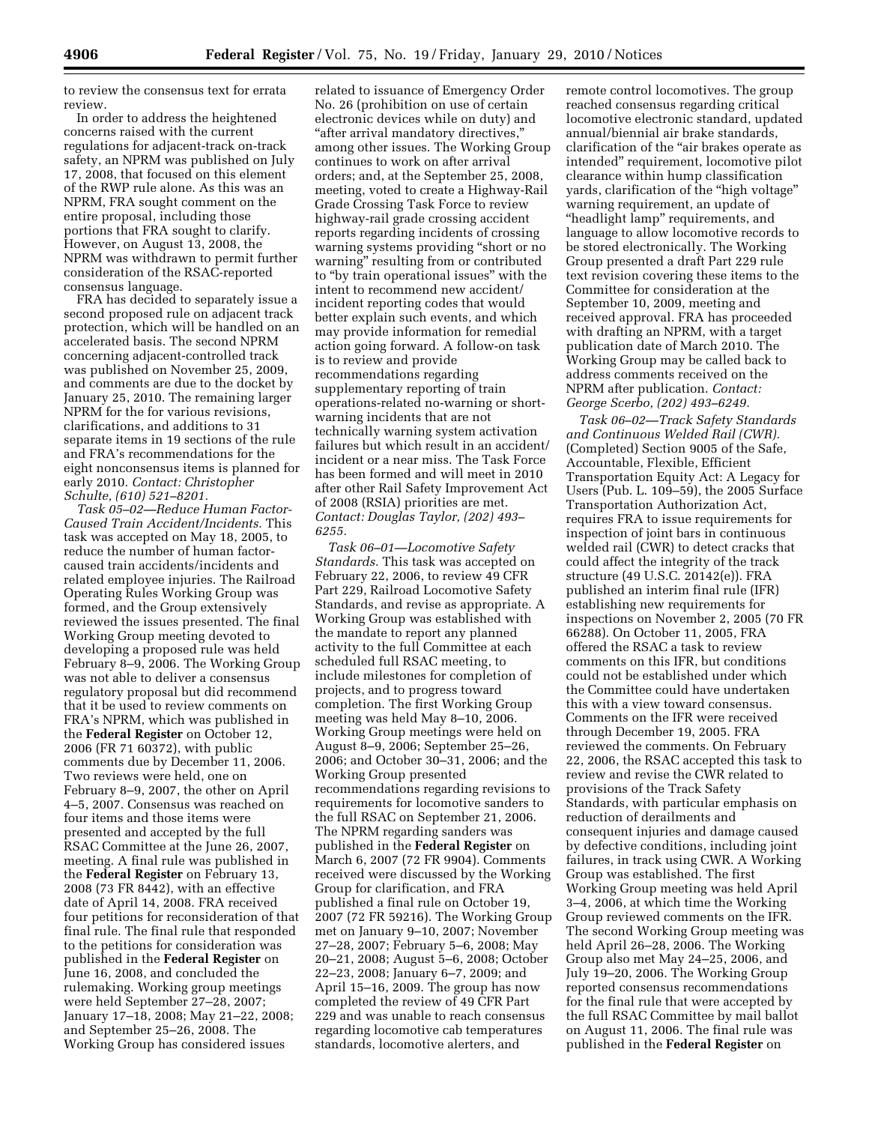to review the consensus text for errata review.

In order to address the heightened concerns raised with the current regulations for adjacent-track on-track safety, an NPRM was published on July 17, 2008, that focused on this element of the RWP rule alone. As this was an NPRM, FRA sought comment on the entire proposal, including those portions that FRA sought to clarify. However, on August 13, 2008, the NPRM was withdrawn to permit further consideration of the RSAC-reported consensus language.

FRA has decided to separately issue a second proposed rule on adjacent track protection, which will be handled on an accelerated basis. The second NPRM concerning adjacent-controlled track was published on November 25, 2009, and comments are due to the docket by January 25, 2010. The remaining larger NPRM for the for various revisions, clarifications, and additions to 31 separate items in 19 sections of the rule and FRA's recommendations for the eight nonconsensus items is planned for early 2010. *Contact: Christopher Schulte, (610) 521–8201.* 

*Task 05–02—Reduce Human Factor-Caused Train Accident/Incidents.* This task was accepted on May 18, 2005, to reduce the number of human factorcaused train accidents/incidents and related employee injuries. The Railroad Operating Rules Working Group was formed, and the Group extensively reviewed the issues presented. The final Working Group meeting devoted to developing a proposed rule was held February 8–9, 2006. The Working Group was not able to deliver a consensus regulatory proposal but did recommend that it be used to review comments on FRA's NPRM, which was published in the **Federal Register** on October 12, 2006 (FR 71 60372), with public comments due by December 11, 2006. Two reviews were held, one on February 8–9, 2007, the other on April 4–5, 2007. Consensus was reached on four items and those items were presented and accepted by the full RSAC Committee at the June 26, 2007, meeting. A final rule was published in the **Federal Register** on February 13, 2008 (73 FR 8442), with an effective date of April 14, 2008. FRA received four petitions for reconsideration of that final rule. The final rule that responded to the petitions for consideration was published in the **Federal Register** on June 16, 2008, and concluded the rulemaking. Working group meetings were held September 27–28, 2007; January 17–18, 2008; May 21–22, 2008; and September 25–26, 2008. The Working Group has considered issues

related to issuance of Emergency Order No. 26 (prohibition on use of certain electronic devices while on duty) and "after arrival mandatory directives," among other issues. The Working Group continues to work on after arrival orders; and, at the September 25, 2008, meeting, voted to create a Highway-Rail Grade Crossing Task Force to review highway-rail grade crossing accident reports regarding incidents of crossing warning systems providing ''short or no warning'' resulting from or contributed to ''by train operational issues'' with the intent to recommend new accident/ incident reporting codes that would better explain such events, and which may provide information for remedial action going forward. A follow-on task is to review and provide recommendations regarding supplementary reporting of train operations-related no-warning or shortwarning incidents that are not technically warning system activation failures but which result in an accident/ incident or a near miss. The Task Force has been formed and will meet in 2010 after other Rail Safety Improvement Act of 2008 (RSIA) priorities are met. *Contact: Douglas Taylor, (202) 493– 6255.* 

*Task 06–01—Locomotive Safety Standards.* This task was accepted on February 22, 2006, to review 49 CFR Part 229, Railroad Locomotive Safety Standards, and revise as appropriate. A Working Group was established with the mandate to report any planned activity to the full Committee at each scheduled full RSAC meeting, to include milestones for completion of projects, and to progress toward completion. The first Working Group meeting was held May 8–10, 2006. Working Group meetings were held on August 8–9, 2006; September 25–26, 2006; and October 30–31, 2006; and the Working Group presented recommendations regarding revisions to requirements for locomotive sanders to the full RSAC on September 21, 2006. The NPRM regarding sanders was published in the **Federal Register** on March 6, 2007 (72 FR 9904). Comments received were discussed by the Working Group for clarification, and FRA published a final rule on October 19, 2007 (72 FR 59216). The Working Group met on January 9–10, 2007; November 27–28, 2007; February 5–6, 2008; May 20–21, 2008; August 5–6, 2008; October 22–23, 2008; January 6–7, 2009; and April 15–16, 2009. The group has now completed the review of 49 CFR Part 229 and was unable to reach consensus regarding locomotive cab temperatures standards, locomotive alerters, and

remote control locomotives. The group reached consensus regarding critical locomotive electronic standard, updated annual/biennial air brake standards, clarification of the ''air brakes operate as intended'' requirement, locomotive pilot clearance within hump classification yards, clarification of the "high voltage" warning requirement, an update of ''headlight lamp'' requirements, and language to allow locomotive records to be stored electronically. The Working Group presented a draft Part 229 rule text revision covering these items to the Committee for consideration at the September 10, 2009, meeting and received approval. FRA has proceeded with drafting an NPRM, with a target publication date of March 2010. The Working Group may be called back to address comments received on the NPRM after publication. *Contact: George Scerbo, (202) 493–6249.* 

*Task 06–02—Track Safety Standards and Continuous Welded Rail (CWR).*  (Completed) Section 9005 of the Safe, Accountable, Flexible, Efficient Transportation Equity Act: A Legacy for Users (Pub. L. 109–59), the 2005 Surface Transportation Authorization Act, requires FRA to issue requirements for inspection of joint bars in continuous welded rail (CWR) to detect cracks that could affect the integrity of the track structure (49 U.S.C. 20142(e)). FRA published an interim final rule (IFR) establishing new requirements for inspections on November 2, 2005 (70 FR 66288). On October 11, 2005, FRA offered the RSAC a task to review comments on this IFR, but conditions could not be established under which the Committee could have undertaken this with a view toward consensus. Comments on the IFR were received through December 19, 2005. FRA reviewed the comments. On February 22, 2006, the RSAC accepted this task to review and revise the CWR related to provisions of the Track Safety Standards, with particular emphasis on reduction of derailments and consequent injuries and damage caused by defective conditions, including joint failures, in track using CWR. A Working Group was established. The first Working Group meeting was held April 3–4, 2006, at which time the Working Group reviewed comments on the IFR. The second Working Group meeting was held April 26–28, 2006. The Working Group also met May 24–25, 2006, and July 19–20, 2006. The Working Group reported consensus recommendations for the final rule that were accepted by the full RSAC Committee by mail ballot on August 11, 2006. The final rule was published in the **Federal Register** on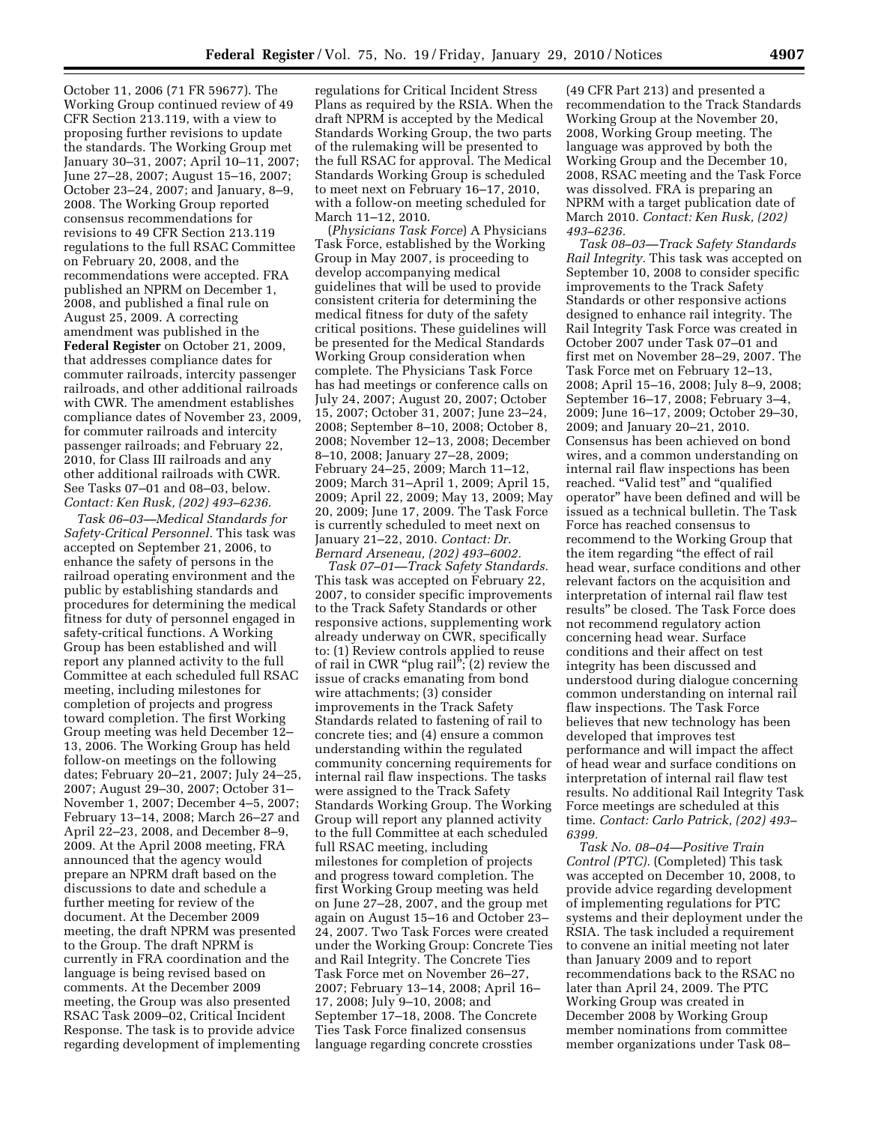October 11, 2006 (71 FR 59677). The Working Group continued review of 49 CFR Section 213.119, with a view to proposing further revisions to update the standards. The Working Group met January 30–31, 2007; April 10–11, 2007; June 27–28, 2007; August 15–16, 2007; October 23–24, 2007; and January, 8–9, 2008. The Working Group reported consensus recommendations for revisions to 49 CFR Section 213.119 regulations to the full RSAC Committee on February 20, 2008, and the recommendations were accepted. FRA published an NPRM on December 1, 2008, and published a final rule on August 25, 2009. A correcting amendment was published in the **Federal Register** on October 21, 2009, that addresses compliance dates for commuter railroads, intercity passenger railroads, and other additional railroads with CWR. The amendment establishes compliance dates of November 23, 2009, for commuter railroads and intercity passenger railroads; and February 22, 2010, for Class III railroads and any other additional railroads with CWR. See Tasks 07–01 and 08–03, below. *Contact: Ken Rusk, (202) 493–6236.* 

*Task 06–03—Medical Standards for Safety-Critical Personnel.* This task was accepted on September 21, 2006, to enhance the safety of persons in the railroad operating environment and the public by establishing standards and procedures for determining the medical fitness for duty of personnel engaged in safety-critical functions. A Working Group has been established and will report any planned activity to the full Committee at each scheduled full RSAC meeting, including milestones for completion of projects and progress toward completion. The first Working Group meeting was held December 12– 13, 2006. The Working Group has held follow-on meetings on the following dates; February 20–21, 2007; July 24–25, 2007; August 29–30, 2007; October 31– November 1, 2007; December 4–5, 2007; February 13–14, 2008; March 26–27 and April 22–23, 2008, and December 8–9, 2009. At the April 2008 meeting, FRA announced that the agency would prepare an NPRM draft based on the discussions to date and schedule a further meeting for review of the document. At the December 2009 meeting, the draft NPRM was presented to the Group. The draft NPRM is currently in FRA coordination and the language is being revised based on comments. At the December 2009 meeting, the Group was also presented RSAC Task 2009–02, Critical Incident Response. The task is to provide advice regarding development of implementing regulations for Critical Incident Stress Plans as required by the RSIA. When the draft NPRM is accepted by the Medical Standards Working Group, the two parts of the rulemaking will be presented to the full RSAC for approval. The Medical Standards Working Group is scheduled to meet next on February 16–17, 2010, with a follow-on meeting scheduled for March 11–12, 2010.

(*Physicians Task Force*) A Physicians Task Force, established by the Working Group in May 2007, is proceeding to develop accompanying medical guidelines that will be used to provide consistent criteria for determining the medical fitness for duty of the safety critical positions. These guidelines will be presented for the Medical Standards Working Group consideration when complete. The Physicians Task Force has had meetings or conference calls on July 24, 2007; August 20, 2007; October 15, 2007; October 31, 2007; June 23–24, 2008; September 8–10, 2008; October 8, 2008; November 12–13, 2008; December 8–10, 2008; January 27–28, 2009; February 24–25, 2009; March 11–12, 2009; March 31–April 1, 2009; April 15, 2009; April 22, 2009; May 13, 2009; May 20, 2009; June 17, 2009. The Task Force is currently scheduled to meet next on January 21–22, 2010. *Contact: Dr. Bernard Arseneau, (202) 493–6002.* 

*Task 07–01—Track Safety Standards.*  This task was accepted on February 22, 2007, to consider specific improvements to the Track Safety Standards or other responsive actions, supplementing work already underway on CWR, specifically to: (1) Review controls applied to reuse of rail in CWR "plug rail";  $(2)$  review the issue of cracks emanating from bond wire attachments; (3) consider improvements in the Track Safety Standards related to fastening of rail to concrete ties; and (4) ensure a common understanding within the regulated community concerning requirements for internal rail flaw inspections. The tasks were assigned to the Track Safety Standards Working Group. The Working Group will report any planned activity to the full Committee at each scheduled full RSAC meeting, including milestones for completion of projects and progress toward completion. The first Working Group meeting was held on June 27–28, 2007, and the group met again on August 15–16 and October 23– 24, 2007. Two Task Forces were created under the Working Group: Concrete Ties and Rail Integrity. The Concrete Ties Task Force met on November 26–27, 2007; February 13–14, 2008; April 16– 17, 2008; July 9–10, 2008; and September 17–18, 2008. The Concrete Ties Task Force finalized consensus language regarding concrete crossties

(49 CFR Part 213) and presented a recommendation to the Track Standards Working Group at the November 20, 2008, Working Group meeting. The language was approved by both the Working Group and the December 10, 2008, RSAC meeting and the Task Force was dissolved. FRA is preparing an NPRM with a target publication date of March 2010. *Contact: Ken Rusk, (202) 493–6236.* 

*Task 08–03—Track Safety Standards Rail Integrity.* This task was accepted on September 10, 2008 to consider specific improvements to the Track Safety Standards or other responsive actions designed to enhance rail integrity. The Rail Integrity Task Force was created in October 2007 under Task 07–01 and first met on November 28–29, 2007. The Task Force met on February 12–13, 2008; April 15–16, 2008; July 8–9, 2008; September 16–17, 2008; February 3–4, 2009; June 16–17, 2009; October 29–30, 2009; and January 20–21, 2010. Consensus has been achieved on bond wires, and a common understanding on internal rail flaw inspections has been reached. "Valid test" and "qualified operator'' have been defined and will be issued as a technical bulletin. The Task Force has reached consensus to recommend to the Working Group that the item regarding ''the effect of rail head wear, surface conditions and other relevant factors on the acquisition and interpretation of internal rail flaw test results'' be closed. The Task Force does not recommend regulatory action concerning head wear. Surface conditions and their affect on test integrity has been discussed and understood during dialogue concerning common understanding on internal rail flaw inspections. The Task Force believes that new technology has been developed that improves test performance and will impact the affect of head wear and surface conditions on interpretation of internal rail flaw test results. No additional Rail Integrity Task Force meetings are scheduled at this time. *Contact: Carlo Patrick, (202) 493– 6399.* 

*Task No. 08–04—Positive Train Control (PTC).* (Completed) This task was accepted on December 10, 2008, to provide advice regarding development of implementing regulations for PTC systems and their deployment under the RSIA. The task included a requirement to convene an initial meeting not later than January 2009 and to report recommendations back to the RSAC no later than April 24, 2009. The PTC Working Group was created in December 2008 by Working Group member nominations from committee member organizations under Task 08–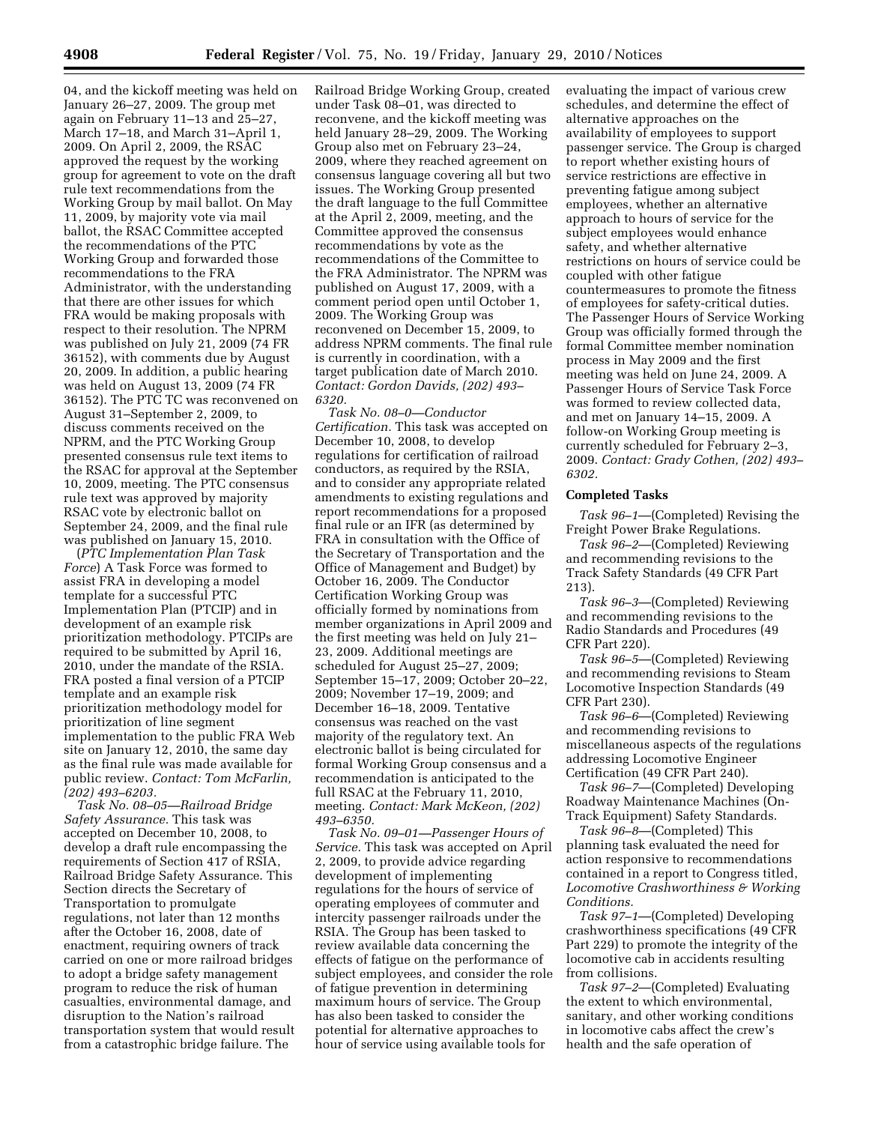04, and the kickoff meeting was held on January 26–27, 2009. The group met again on February 11–13 and 25–27, March 17–18, and March 31–April 1, 2009. On April 2, 2009, the RSAC approved the request by the working group for agreement to vote on the draft rule text recommendations from the Working Group by mail ballot. On May 11, 2009, by majority vote via mail ballot, the RSAC Committee accepted the recommendations of the PTC Working Group and forwarded those recommendations to the FRA Administrator, with the understanding that there are other issues for which FRA would be making proposals with respect to their resolution. The NPRM was published on July 21, 2009 (74 FR 36152), with comments due by August 20, 2009. In addition, a public hearing was held on August 13, 2009 (74 FR 36152). The PTC TC was reconvened on August 31–September 2, 2009, to discuss comments received on the NPRM, and the PTC Working Group presented consensus rule text items to the RSAC for approval at the September 10, 2009, meeting. The PTC consensus rule text was approved by majority RSAC vote by electronic ballot on September 24, 2009, and the final rule was published on January 15, 2010.

(*PTC Implementation Plan Task Force*) A Task Force was formed to assist FRA in developing a model template for a successful PTC Implementation Plan (PTCIP) and in development of an example risk prioritization methodology. PTCIPs are required to be submitted by April 16, 2010, under the mandate of the RSIA. FRA posted a final version of a PTCIP template and an example risk prioritization methodology model for prioritization of line segment implementation to the public FRA Web site on January 12, 2010, the same day as the final rule was made available for public review. *Contact: Tom McFarlin, (202) 493–6203.* 

*Task No. 08–05—Railroad Bridge Safety Assurance.* This task was accepted on December 10, 2008, to develop a draft rule encompassing the requirements of Section 417 of RSIA, Railroad Bridge Safety Assurance. This Section directs the Secretary of Transportation to promulgate regulations, not later than 12 months after the October 16, 2008, date of enactment, requiring owners of track carried on one or more railroad bridges to adopt a bridge safety management program to reduce the risk of human casualties, environmental damage, and disruption to the Nation's railroad transportation system that would result from a catastrophic bridge failure. The

Railroad Bridge Working Group, created under Task 08–01, was directed to reconvene, and the kickoff meeting was held January 28–29, 2009. The Working Group also met on February 23–24, 2009, where they reached agreement on consensus language covering all but two issues. The Working Group presented the draft language to the full Committee at the April 2, 2009, meeting, and the Committee approved the consensus recommendations by vote as the recommendations of the Committee to the FRA Administrator. The NPRM was published on August 17, 2009, with a comment period open until October 1, 2009. The Working Group was reconvened on December 15, 2009, to address NPRM comments. The final rule is currently in coordination, with a target publication date of March 2010. *Contact: Gordon Davids, (202) 493– 6320.* 

*Task No. 08–0—Conductor Certification.* This task was accepted on December 10, 2008, to develop regulations for certification of railroad conductors, as required by the RSIA, and to consider any appropriate related amendments to existing regulations and report recommendations for a proposed final rule or an IFR (as determined by FRA in consultation with the Office of the Secretary of Transportation and the Office of Management and Budget) by October 16, 2009. The Conductor Certification Working Group was officially formed by nominations from member organizations in April 2009 and the first meeting was held on July 21– 23, 2009. Additional meetings are scheduled for August 25–27, 2009; September 15–17, 2009; October 20–22, 2009; November 17–19, 2009; and December 16–18, 2009. Tentative consensus was reached on the vast majority of the regulatory text. An electronic ballot is being circulated for formal Working Group consensus and a recommendation is anticipated to the full RSAC at the February 11, 2010, meeting. *Contact: Mark McKeon, (202) 493–6350.* 

*Task No. 09–01—Passenger Hours of Service.* This task was accepted on April 2, 2009, to provide advice regarding development of implementing regulations for the hours of service of operating employees of commuter and intercity passenger railroads under the RSIA. The Group has been tasked to review available data concerning the effects of fatigue on the performance of subject employees, and consider the role of fatigue prevention in determining maximum hours of service. The Group has also been tasked to consider the potential for alternative approaches to hour of service using available tools for

evaluating the impact of various crew schedules, and determine the effect of alternative approaches on the availability of employees to support passenger service. The Group is charged to report whether existing hours of service restrictions are effective in preventing fatigue among subject employees, whether an alternative approach to hours of service for the subject employees would enhance safety, and whether alternative restrictions on hours of service could be coupled with other fatigue countermeasures to promote the fitness of employees for safety-critical duties. The Passenger Hours of Service Working Group was officially formed through the formal Committee member nomination process in May 2009 and the first meeting was held on June 24, 2009. A Passenger Hours of Service Task Force was formed to review collected data, and met on January 14–15, 2009. A follow-on Working Group meeting is currently scheduled for February 2–3, 2009. *Contact: Grady Cothen, (202) 493– 6302.* 

### **Completed Tasks**

*Task 96–1*—(Completed) Revising the Freight Power Brake Regulations.

*Task 96–2*—(Completed) Reviewing and recommending revisions to the Track Safety Standards (49 CFR Part 213).

*Task 96–3*—(Completed) Reviewing and recommending revisions to the Radio Standards and Procedures (49 CFR Part 220).

*Task 96–5*—(Completed) Reviewing and recommending revisions to Steam Locomotive Inspection Standards (49 CFR Part 230).

*Task 96–6*—(Completed) Reviewing and recommending revisions to miscellaneous aspects of the regulations addressing Locomotive Engineer Certification (49 CFR Part 240).

*Task 96–7*—(Completed) Developing Roadway Maintenance Machines (On-Track Equipment) Safety Standards.

*Task 96–8*—(Completed) This planning task evaluated the need for action responsive to recommendations contained in a report to Congress titled, *Locomotive Crashworthiness & Working Conditions.* 

*Task 97–1*—(Completed) Developing crashworthiness specifications (49 CFR Part 229) to promote the integrity of the locomotive cab in accidents resulting from collisions.

*Task 97–2*—(Completed) Evaluating the extent to which environmental, sanitary, and other working conditions in locomotive cabs affect the crew's health and the safe operation of